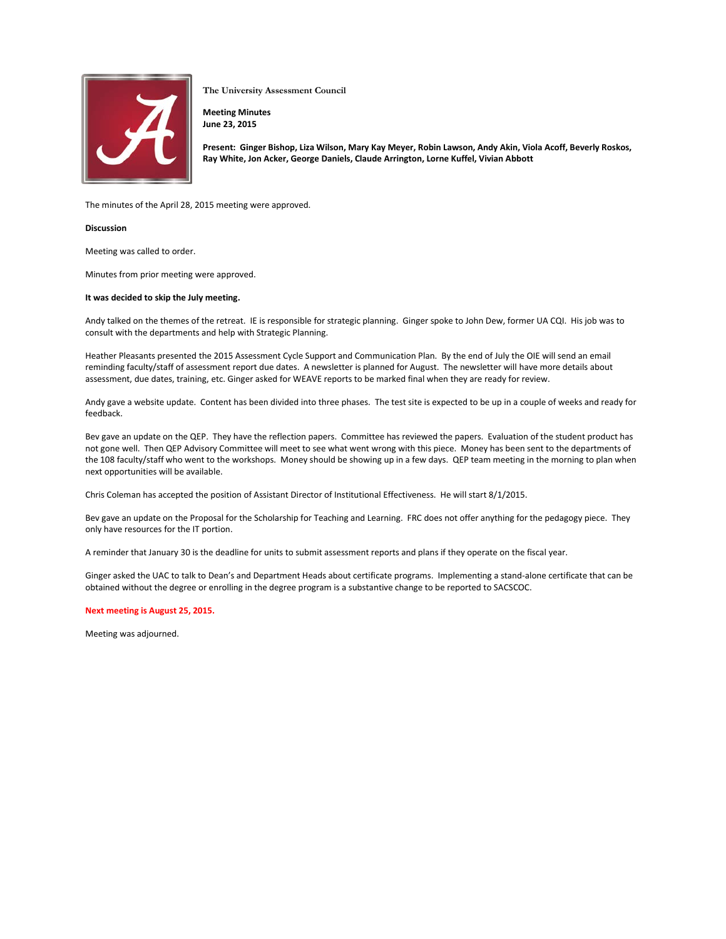

**The University Assessment Council**

**Meeting Minutes June 23, 2015**

**Present: Ginger Bishop, Liza Wilson, Mary Kay Meyer, Robin Lawson, Andy Akin, Viola Acoff, Beverly Roskos, Ray White, Jon Acker, George Daniels, Claude Arrington, Lorne Kuffel, Vivian Abbott**

The minutes of the April 28, 2015 meeting were approved.

## **Discussion**

Meeting was called to order.

Minutes from prior meeting were approved.

## **It was decided to skip the July meeting.**

Andy talked on the themes of the retreat. IE is responsible for strategic planning. Ginger spoke to John Dew, former UA CQI. His job was to consult with the departments and help with Strategic Planning.

Heather Pleasants presented the 2015 Assessment Cycle Support and Communication Plan. By the end of July the OIE will send an email reminding faculty/staff of assessment report due dates. A newsletter is planned for August. The newsletter will have more details about assessment, due dates, training, etc. Ginger asked for WEAVE reports to be marked final when they are ready for review.

Andy gave a website update. Content has been divided into three phases. The test site is expected to be up in a couple of weeks and ready for feedback.

Bev gave an update on the QEP. They have the reflection papers. Committee has reviewed the papers. Evaluation of the student product has not gone well. Then QEP Advisory Committee will meet to see what went wrong with this piece. Money has been sent to the departments of the 108 faculty/staff who went to the workshops. Money should be showing up in a few days. QEP team meeting in the morning to plan when next opportunities will be available.

Chris Coleman has accepted the position of Assistant Director of Institutional Effectiveness. He will start 8/1/2015.

Bev gave an update on the Proposal for the Scholarship for Teaching and Learning. FRC does not offer anything for the pedagogy piece. They only have resources for the IT portion.

A reminder that January 30 is the deadline for units to submit assessment reports and plans if they operate on the fiscal year.

Ginger asked the UAC to talk to Dean's and Department Heads about certificate programs. Implementing a stand-alone certificate that can be obtained without the degree or enrolling in the degree program is a substantive change to be reported to SACSCOC.

## **Next meeting is August 25, 2015.**

Meeting was adjourned.